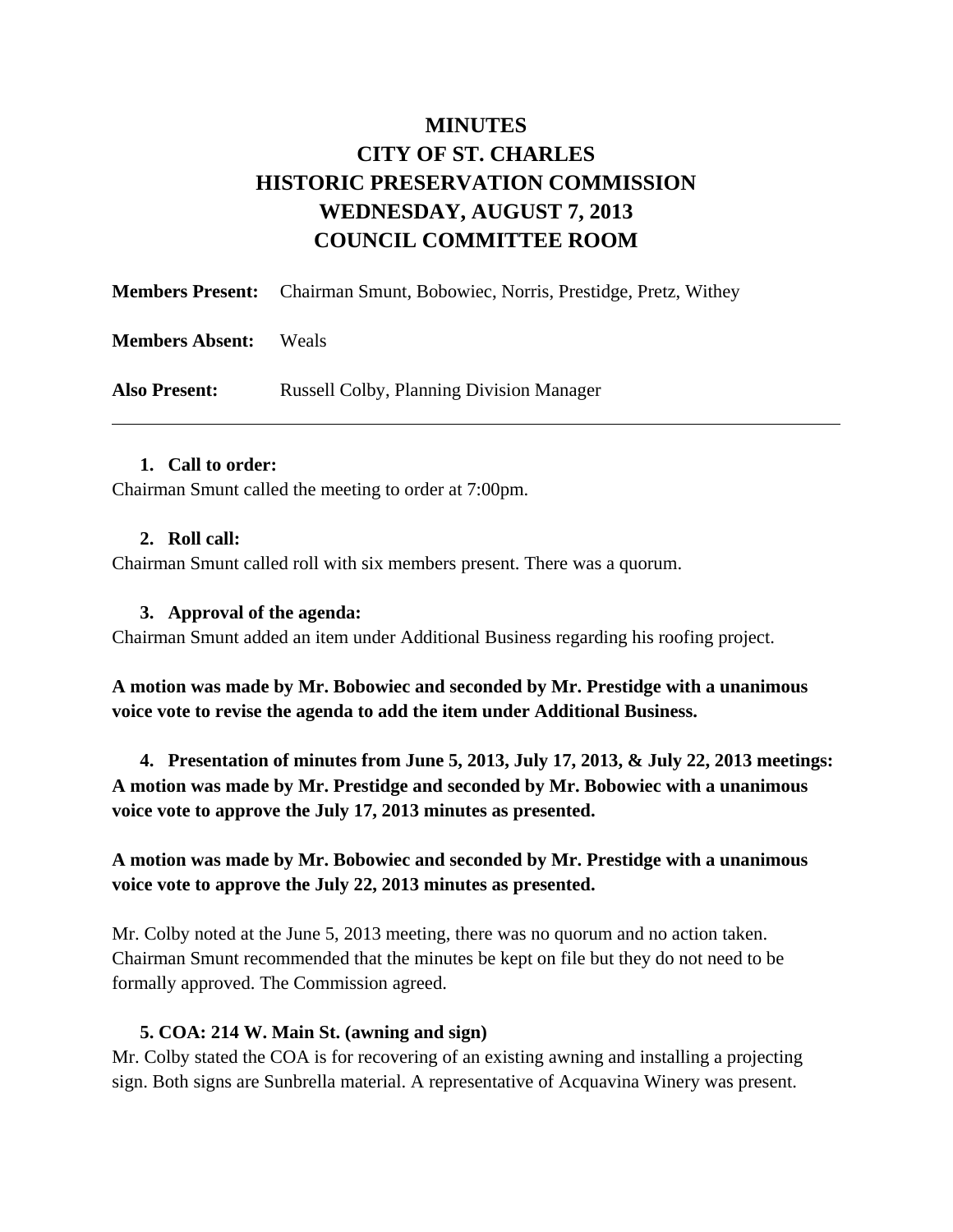# **MINUTES CITY OF ST. CHARLES HISTORIC PRESERVATION COMMISSION WEDNESDAY, AUGUST 7, 2013 COUNCIL COMMITTEE ROOM**

|                        | <b>Members Present:</b> Chairman Smunt, Bobowiec, Norris, Prestidge, Pretz, Withey |
|------------------------|------------------------------------------------------------------------------------|
| <b>Members Absent:</b> | <b>Weals</b>                                                                       |
| <b>Also Present:</b>   | <b>Russell Colby, Planning Division Manager</b>                                    |

### **1. Call to order:**

Chairman Smunt called the meeting to order at 7:00pm.

### **2. Roll call:**

Chairman Smunt called roll with six members present. There was a quorum.

### **3. Approval of the agenda:**

Chairman Smunt added an item under Additional Business regarding his roofing project.

**A motion was made by Mr. Bobowiec and seconded by Mr. Prestidge with a unanimous voice vote to revise the agenda to add the item under Additional Business.** 

**4. Presentation of minutes from June 5, 2013, July 17, 2013, & July 22, 2013 meetings: A motion was made by Mr. Prestidge and seconded by Mr. Bobowiec with a unanimous voice vote to approve the July 17, 2013 minutes as presented.** 

**A motion was made by Mr. Bobowiec and seconded by Mr. Prestidge with a unanimous voice vote to approve the July 22, 2013 minutes as presented.** 

Mr. Colby noted at the June 5, 2013 meeting, there was no quorum and no action taken. Chairman Smunt recommended that the minutes be kept on file but they do not need to be formally approved. The Commission agreed.

#### **5. COA: 214 W. Main St. (awning and sign)**

Mr. Colby stated the COA is for recovering of an existing awning and installing a projecting sign. Both signs are Sunbrella material. A representative of Acquavina Winery was present.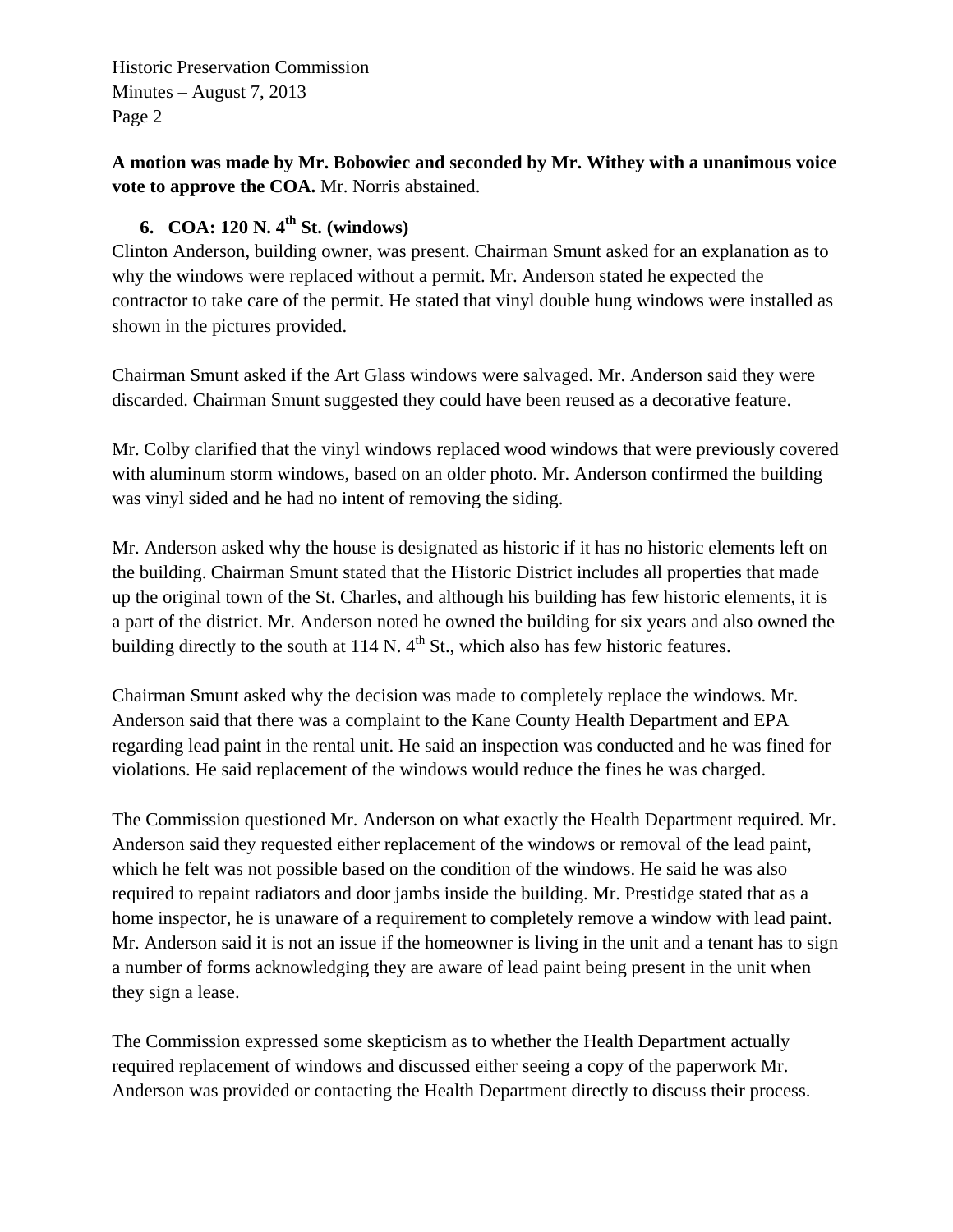Historic Preservation Commission Minutes – August 7, 2013 Page 2

**A motion was made by Mr. Bobowiec and seconded by Mr. Withey with a unanimous voice vote to approve the COA.** Mr. Norris abstained.

## **6. COA: 120 N. 4th St. (windows)**

Clinton Anderson, building owner, was present. Chairman Smunt asked for an explanation as to why the windows were replaced without a permit. Mr. Anderson stated he expected the contractor to take care of the permit. He stated that vinyl double hung windows were installed as shown in the pictures provided.

Chairman Smunt asked if the Art Glass windows were salvaged. Mr. Anderson said they were discarded. Chairman Smunt suggested they could have been reused as a decorative feature.

Mr. Colby clarified that the vinyl windows replaced wood windows that were previously covered with aluminum storm windows, based on an older photo. Mr. Anderson confirmed the building was vinyl sided and he had no intent of removing the siding.

Mr. Anderson asked why the house is designated as historic if it has no historic elements left on the building. Chairman Smunt stated that the Historic District includes all properties that made up the original town of the St. Charles, and although his building has few historic elements, it is a part of the district. Mr. Anderson noted he owned the building for six years and also owned the building directly to the south at  $114$  N.  $4<sup>th</sup>$  St., which also has few historic features.

Chairman Smunt asked why the decision was made to completely replace the windows. Mr. Anderson said that there was a complaint to the Kane County Health Department and EPA regarding lead paint in the rental unit. He said an inspection was conducted and he was fined for violations. He said replacement of the windows would reduce the fines he was charged.

The Commission questioned Mr. Anderson on what exactly the Health Department required. Mr. Anderson said they requested either replacement of the windows or removal of the lead paint, which he felt was not possible based on the condition of the windows. He said he was also required to repaint radiators and door jambs inside the building. Mr. Prestidge stated that as a home inspector, he is unaware of a requirement to completely remove a window with lead paint. Mr. Anderson said it is not an issue if the homeowner is living in the unit and a tenant has to sign a number of forms acknowledging they are aware of lead paint being present in the unit when they sign a lease.

The Commission expressed some skepticism as to whether the Health Department actually required replacement of windows and discussed either seeing a copy of the paperwork Mr. Anderson was provided or contacting the Health Department directly to discuss their process.